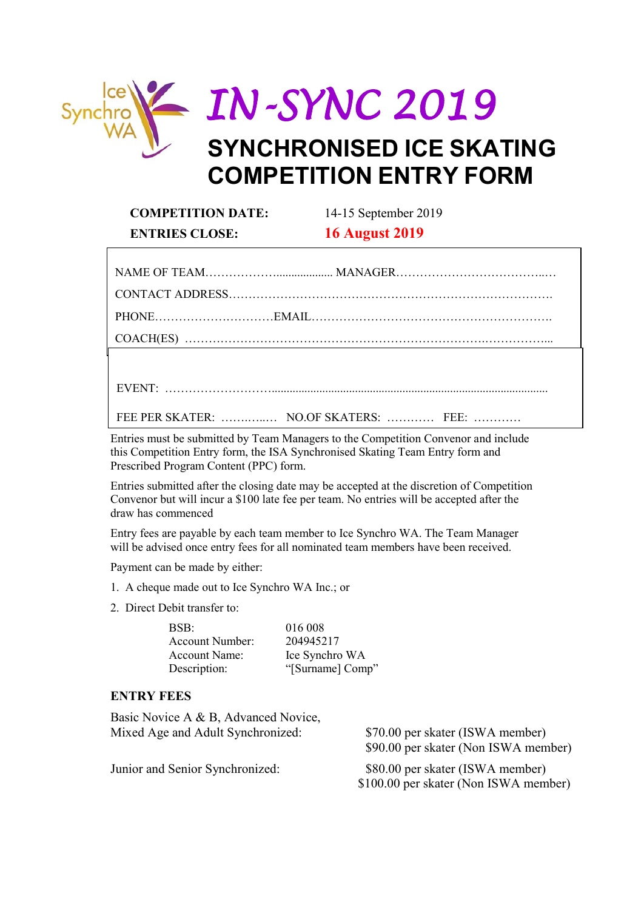# *IN-SYNC 2019* **SYNCHRONISED ICE SKATING COMPETITION ENTRY FORM**

### **COMPETITION DATE:** 14-15 September 2019

٦

**ENTRIES CLOSE: 16 August 2019**

| FEE PER SKATER:  NO.OF SKATERS:  FEE: |
|---------------------------------------|

Entries must be submitted by Team Managers to the Competition Convenor and include this Competition Entry form, the ISA Synchronised Skating Team Entry form and Prescribed Program Content (PPC) form.

Entries submitted after the closing date may be accepted at the discretion of Competition Convenor but will incur a \$100 late fee per team. No entries will be accepted after the draw has commenced

Entry fees are payable by each team member to Ice Synchro WA. The Team Manager will be advised once entry fees for all nominated team members have been received.

Payment can be made by either:

- 1. A cheque made out to Ice Synchro WA Inc.; or
- 2. Direct Debit transfer to:

| BSB:            | 016 008          |
|-----------------|------------------|
| Account Number: | 204945217        |
| Account Name:   | Ice Synchro WA   |
| Description:    | "[Surname] Comp" |

#### **ENTRY FEES**

| Basic Novice A & B, Advanced Novice, |                                                                           |
|--------------------------------------|---------------------------------------------------------------------------|
| Mixed Age and Adult Synchronized:    | \$70.00 per skater (ISWA member)<br>\$90.00 per skater (Non ISWA member)  |
| Junior and Senior Synchronized:      | \$80.00 per skater (ISWA member)<br>\$100.00 per skater (Non ISWA member) |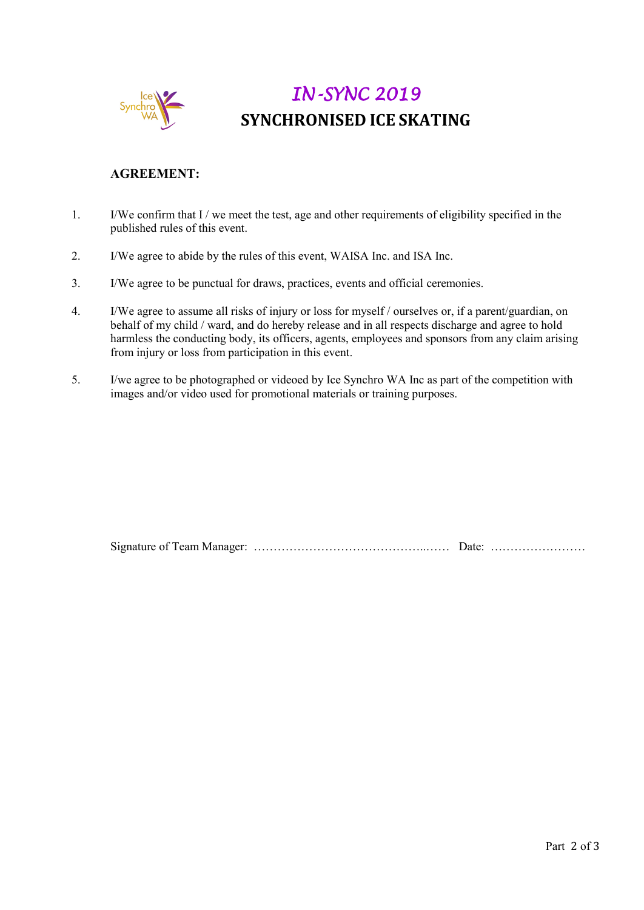

### *IN-SYNC 2019*  **SYNCHRONISED ICE SKATING**

#### **AGREEMENT:**

- 1. I/We confirm that I / we meet the test, age and other requirements of eligibility specified in the published rules of this event.
- 2. I/We agree to abide by the rules of this event, WAISA Inc. and ISA Inc.
- 3. I/We agree to be punctual for draws, practices, events and official ceremonies.
- 4. I/We agree to assume all risks of injury or loss for myself / ourselves or, if a parent/guardian, on behalf of my child / ward, and do hereby release and in all respects discharge and agree to hold harmless the conducting body, its officers, agents, employees and sponsors from any claim arising from injury or loss from participation in this event.
- 5. I/we agree to be photographed or videoed by Ice Synchro WA Inc as part of the competition with images and/or video used for promotional materials or training purposes.

Signature of Team Manager: ……………………………………..…… Date: ……………………